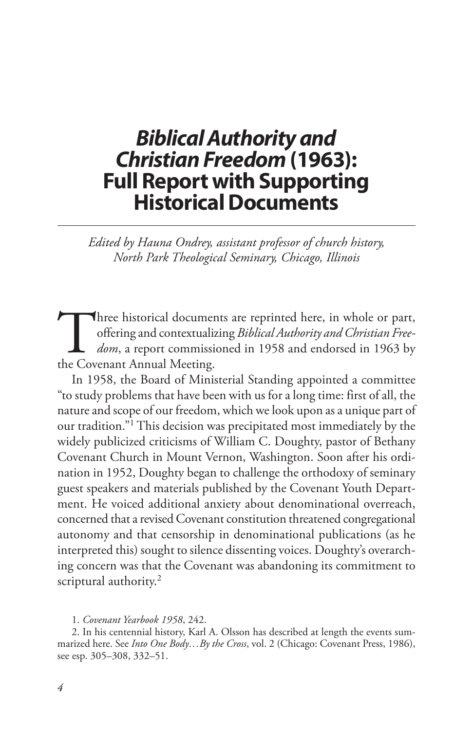# *Biblical Authority and Christian Freedom* **(1963): Full Report with Supporting Historical Documents**

*Edited by Hauna Ondrey, assistant professor of church history, North Park Theological Seminary, Chicago, Illinois*

Three historical documents are reprinted here, in whole or part, offering and contextualizing *Biblical Authority and Christian Freedom*, a report commissioned in 1958 and endorsed in 1963 by the Covenant Annual Meeting. offering and contextualizing *Biblical Authority and Christian Freedom*, a report commissioned in 1958 and endorsed in 1963 by the Covenant Annual Meeting.

In 1958, the Board of Ministerial Standing appointed a committee "to study problems that have been with us for a long time: first of all, the nature and scope of our freedom, which we look upon as a unique part of our tradition."1 This decision was precipitated most immediately by the widely publicized criticisms of William C. Doughty, pastor of Bethany Covenant Church in Mount Vernon, Washington. Soon after his ordination in 1952, Doughty began to challenge the orthodoxy of seminary guest speakers and materials published by the Covenant Youth Department. He voiced additional anxiety about denominational overreach, concerned that a revised Covenant constitution threatened congregational autonomy and that censorship in denominational publications (as he interpreted this) sought to silence dissenting voices. Doughty's overarching concern was that the Covenant was abandoning its commitment to scriptural authority.<sup>2</sup>

1. *Covenant Yearbook 1958*, 242.

2. In his centennial history, Karl A. Olsson has described at length the events summarized here. See *Into One Body…By the Cross*, vol. 2 (Chicago: Covenant Press, 1986), see esp. 305–308, 332–51.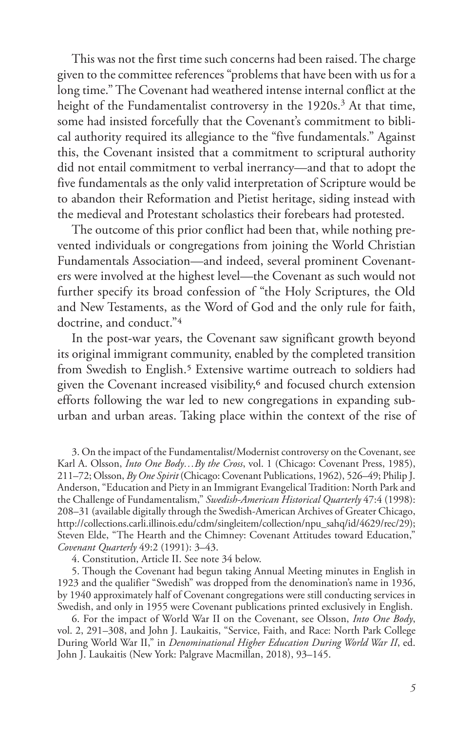This was not the first time such concerns had been raised. The charge given to the committee references "problems that have been with us for a long time." The Covenant had weathered intense internal conflict at the height of the Fundamentalist controversy in the 1920s.<sup>3</sup> At that time, some had insisted forcefully that the Covenant's commitment to biblical authority required its allegiance to the "five fundamentals." Against this, the Covenant insisted that a commitment to scriptural authority did not entail commitment to verbal inerrancy—and that to adopt the five fundamentals as the only valid interpretation of Scripture would be to abandon their Reformation and Pietist heritage, siding instead with the medieval and Protestant scholastics their forebears had protested.

The outcome of this prior conflict had been that, while nothing prevented individuals or congregations from joining the World Christian Fundamentals Association—and indeed, several prominent Covenanters were involved at the highest level—the Covenant as such would not further specify its broad confession of "the Holy Scriptures, the Old and New Testaments, as the Word of God and the only rule for faith, doctrine, and conduct."4

In the post-war years, the Covenant saw significant growth beyond its original immigrant community, enabled by the completed transition from Swedish to English.<sup>5</sup> Extensive wartime outreach to soldiers had given the Covenant increased visibility,<sup>6</sup> and focused church extension efforts following the war led to new congregations in expanding suburban and urban areas. Taking place within the context of the rise of

3. On the impact of the Fundamentalist/Modernist controversy on the Covenant, see Karl A. Olsson, *Into One Body…By the Cross*, vol. 1 (Chicago: Covenant Press, 1985), 211–72; Olsson, *By One Spirit* (Chicago: Covenant Publications, 1962), 526–49; Philip J. Anderson, "Education and Piety in an Immigrant Evangelical Tradition: North Park and the Challenge of Fundamentalism," *Swedish-American Historical Quarterly* 47:4 (1998): 208–31 (available digitally through the Swedish-American Archives of Greater Chicago, http://collections.carli.illinois.edu/cdm/singleitem/collection/npu\_sahq/id/4629/rec/29); Steven Elde, "The Hearth and the Chimney: Covenant Attitudes toward Education," *Covenant Quarterly* 49:2 (1991): 3–43.

4. Constitution, Article II. See note 34 below.

5. Though the Covenant had begun taking Annual Meeting minutes in English in 1923 and the qualifier "Swedish" was dropped from the denomination's name in 1936, by 1940 approximately half of Covenant congregations were still conducting services in Swedish, and only in 1955 were Covenant publications printed exclusively in English.

6. For the impact of World War II on the Covenant, see Olsson, *Into One Body*, vol. 2, 291–308, and John J. Laukaitis, "Service, Faith, and Race: North Park College During World War II," in *Denominational Higher Education During World War II*, ed. John J. Laukaitis (New York: Palgrave Macmillan, 2018), 93–145.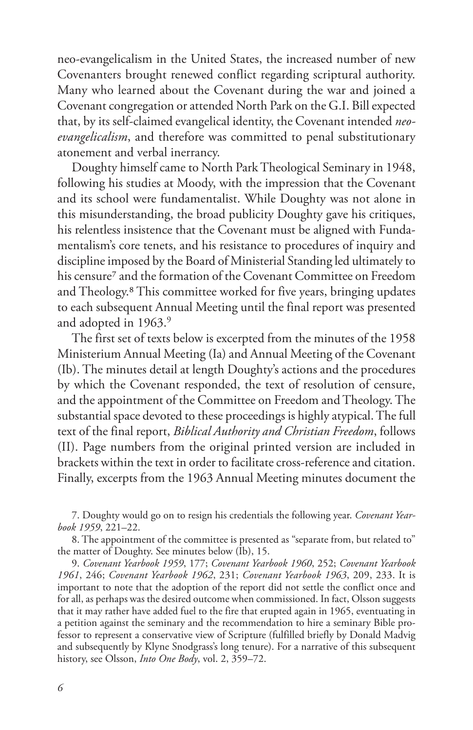neo-evangelicalism in the United States, the increased number of new Covenanters brought renewed conflict regarding scriptural authority. Many who learned about the Covenant during the war and joined a Covenant congregation or attended North Park on the G.I. Bill expected that, by its self-claimed evangelical identity, the Covenant intended *neoevangelicalism*, and therefore was committed to penal substitutionary atonement and verbal inerrancy.

Doughty himself came to North Park Theological Seminary in 1948, following his studies at Moody, with the impression that the Covenant and its school were fundamentalist. While Doughty was not alone in this misunderstanding, the broad publicity Doughty gave his critiques, his relentless insistence that the Covenant must be aligned with Fundamentalism's core tenets, and his resistance to procedures of inquiry and discipline imposed by the Board of Ministerial Standing led ultimately to his censure<sup>7</sup> and the formation of the Covenant Committee on Freedom and Theology.8 This committee worked for five years, bringing updates to each subsequent Annual Meeting until the final report was presented and adopted in 1963.<sup>9</sup>

The first set of texts below is excerpted from the minutes of the 1958 Ministerium Annual Meeting (Ia) and Annual Meeting of the Covenant (Ib). The minutes detail at length Doughty's actions and the procedures by which the Covenant responded, the text of resolution of censure, and the appointment of the Committee on Freedom and Theology. The substantial space devoted to these proceedings is highly atypical. The full text of the final report, *Biblical Authority and Christian Freedom*, follows (II). Page numbers from the original printed version are included in brackets within the text in order to facilitate cross-reference and citation. Finally, excerpts from the 1963 Annual Meeting minutes document the

7. Doughty would go on to resign his credentials the following year. *Covenant Yearbook 1959*, 221–22.

8. The appointment of the committee is presented as "separate from, but related to" the matter of Doughty. See minutes below (Ib), 15.

9. *Covenant Yearbook 1959*, 177; *Covenant Yearbook 1960*, 252; *Covenant Yearbook 1961*, 246; *Covenant Yearbook 1962*, 231; *Covenant Yearbook 1963*, 209, 233. It is important to note that the adoption of the report did not settle the conflict once and for all, as perhaps was the desired outcome when commissioned. In fact, Olsson suggests that it may rather have added fuel to the fire that erupted again in 1965, eventuating in a petition against the seminary and the recommendation to hire a seminary Bible professor to represent a conservative view of Scripture (fulfilled briefly by Donald Madvig and subsequently by Klyne Snodgrass's long tenure). For a narrative of this subsequent history, see Olsson, *Into One Body*, vol. 2, 359–72.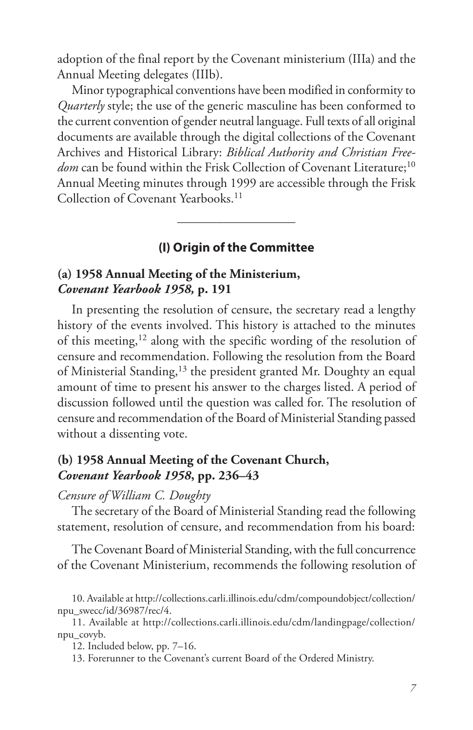adoption of the final report by the Covenant ministerium (IIIa) and the Annual Meeting delegates (IIIb).

Minor typographical conventions have been modified in conformity to *Quarterly* style; the use of the generic masculine has been conformed to the current convention of gender neutral language. Full texts of all original documents are available through the digital collections of the Covenant Archives and Historical Library: *Biblical Authority and Christian Free*dom can be found within the Frisk Collection of Covenant Literature;<sup>10</sup> Annual Meeting minutes through 1999 are accessible through the Frisk Collection of Covenant Yearbooks.<sup>11</sup>

# **(I) Origin of the Committee**

 $\frac{1}{\sqrt{2}}$ 

## **(a) 1958 Annual Meeting of the Ministerium,**  *Covenant Yearbook 1958,* **p. 191**

In presenting the resolution of censure, the secretary read a lengthy history of the events involved. This history is attached to the minutes of this meeting, $12$  along with the specific wording of the resolution of censure and recommendation. Following the resolution from the Board of Ministerial Standing,<sup>13</sup> the president granted Mr. Doughty an equal amount of time to present his answer to the charges listed. A period of discussion followed until the question was called for. The resolution of censure and recommendation of the Board of Ministerial Standing passed without a dissenting vote.

## **(b) 1958 Annual Meeting of the Covenant Church,**  *Covenant Yearbook 1958***, pp. 236–43**

#### *Censure of William C. Doughty*

The secretary of the Board of Ministerial Standing read the following statement, resolution of censure, and recommendation from his board:

The Covenant Board of Ministerial Standing, with the full concurrence of the Covenant Ministerium, recommends the following resolution of

<sup>10.</sup> Available at http://collections.carli.illinois.edu/cdm/compoundobject/collection/ npu\_swecc/id/36987/rec/4.

<sup>11.</sup> Available at http://collections.carli.illinois.edu/cdm/landingpage/collection/ npu\_covyb.

<sup>12.</sup> Included below, pp. 7–16.

<sup>13.</sup> Forerunner to the Covenant's current Board of the Ordered Ministry.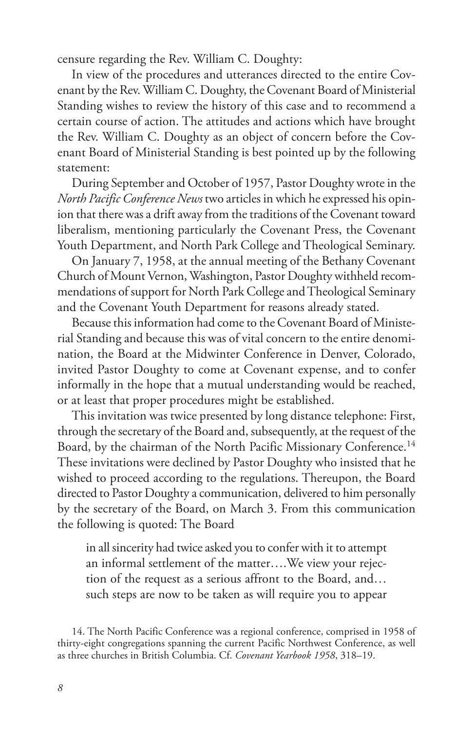censure regarding the Rev. William C. Doughty:

In view of the procedures and utterances directed to the entire Covenant by the Rev. William C. Doughty, the Covenant Board of Ministerial Standing wishes to review the history of this case and to recommend a certain course of action. The attitudes and actions which have brought the Rev. William C. Doughty as an object of concern before the Covenant Board of Ministerial Standing is best pointed up by the following statement:

During September and October of 1957, Pastor Doughty wrote in the *North Pacific Conference News* two articles in which he expressed his opinion that there was a drift away from the traditions of the Covenant toward liberalism, mentioning particularly the Covenant Press, the Covenant Youth Department, and North Park College and Theological Seminary.

On January 7, 1958, at the annual meeting of the Bethany Covenant Church of Mount Vernon, Washington, Pastor Doughty withheld recommendations of support for North Park College and Theological Seminary and the Covenant Youth Department for reasons already stated.

Because this information had come to the Covenant Board of Ministerial Standing and because this was of vital concern to the entire denomination, the Board at the Midwinter Conference in Denver, Colorado, invited Pastor Doughty to come at Covenant expense, and to confer informally in the hope that a mutual understanding would be reached, or at least that proper procedures might be established.

This invitation was twice presented by long distance telephone: First, through the secretary of the Board and, subsequently, at the request of the Board, by the chairman of the North Pacific Missionary Conference.<sup>14</sup> These invitations were declined by Pastor Doughty who insisted that he wished to proceed according to the regulations. Thereupon, the Board directed to Pastor Doughty a communication, delivered to him personally by the secretary of the Board, on March 3. From this communication the following is quoted: The Board

in all sincerity had twice asked you to confer with it to attempt an informal settlement of the matter….We view your rejection of the request as a serious affront to the Board, and… such steps are now to be taken as will require you to appear

<sup>14.</sup> The North Pacific Conference was a regional conference, comprised in 1958 of thirty-eight congregations spanning the current Pacific Northwest Conference, as well as three churches in British Columbia. Cf. *Covenant Yearbook 1958*, 318–19.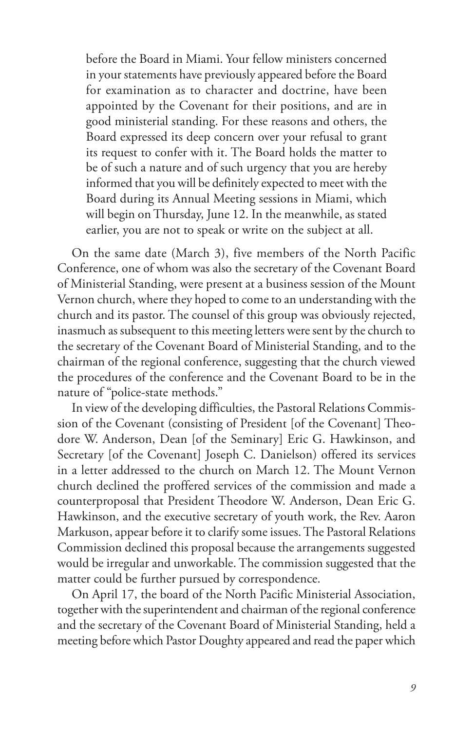before the Board in Miami. Your fellow ministers concerned in your statements have previously appeared before the Board for examination as to character and doctrine, have been appointed by the Covenant for their positions, and are in good ministerial standing. For these reasons and others, the Board expressed its deep concern over your refusal to grant its request to confer with it. The Board holds the matter to be of such a nature and of such urgency that you are hereby informed that you will be definitely expected to meet with the Board during its Annual Meeting sessions in Miami, which will begin on Thursday, June 12. In the meanwhile, as stated earlier, you are not to speak or write on the subject at all.

On the same date (March 3), five members of the North Pacific Conference, one of whom was also the secretary of the Covenant Board of Ministerial Standing, were present at a business session of the Mount Vernon church, where they hoped to come to an understanding with the church and its pastor. The counsel of this group was obviously rejected, inasmuch as subsequent to this meeting letters were sent by the church to the secretary of the Covenant Board of Ministerial Standing, and to the chairman of the regional conference, suggesting that the church viewed the procedures of the conference and the Covenant Board to be in the nature of "police-state methods."

In view of the developing difficulties, the Pastoral Relations Commission of the Covenant (consisting of President [of the Covenant] Theodore W. Anderson, Dean [of the Seminary] Eric G. Hawkinson, and Secretary [of the Covenant] Joseph C. Danielson) offered its services in a letter addressed to the church on March 12. The Mount Vernon church declined the proffered services of the commission and made a counterproposal that President Theodore W. Anderson, Dean Eric G. Hawkinson, and the executive secretary of youth work, the Rev. Aaron Markuson, appear before it to clarify some issues. The Pastoral Relations Commission declined this proposal because the arrangements suggested would be irregular and unworkable. The commission suggested that the matter could be further pursued by correspondence.

On April 17, the board of the North Pacific Ministerial Association, together with the superintendent and chairman of the regional conference and the secretary of the Covenant Board of Ministerial Standing, held a meeting before which Pastor Doughty appeared and read the paper which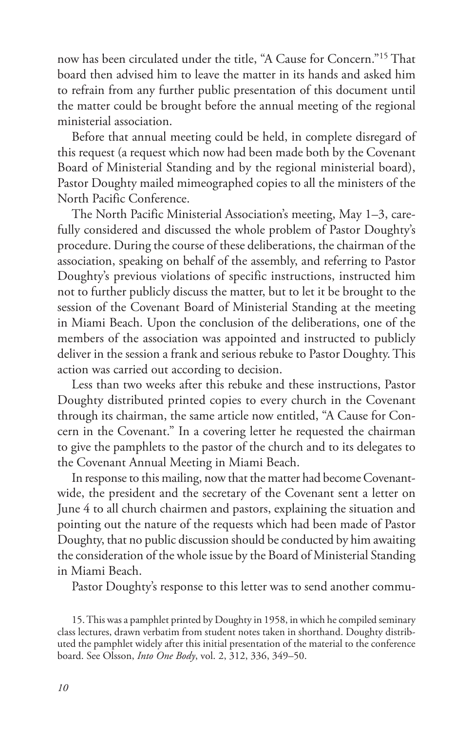now has been circulated under the title, "A Cause for Concern."15 That board then advised him to leave the matter in its hands and asked him to refrain from any further public presentation of this document until the matter could be brought before the annual meeting of the regional ministerial association.

Before that annual meeting could be held, in complete disregard of this request (a request which now had been made both by the Covenant Board of Ministerial Standing and by the regional ministerial board), Pastor Doughty mailed mimeographed copies to all the ministers of the North Pacific Conference.

The North Pacific Ministerial Association's meeting, May 1–3, carefully considered and discussed the whole problem of Pastor Doughty's procedure. During the course of these deliberations, the chairman of the association, speaking on behalf of the assembly, and referring to Pastor Doughty's previous violations of specific instructions, instructed him not to further publicly discuss the matter, but to let it be brought to the session of the Covenant Board of Ministerial Standing at the meeting in Miami Beach. Upon the conclusion of the deliberations, one of the members of the association was appointed and instructed to publicly deliver in the session a frank and serious rebuke to Pastor Doughty. This action was carried out according to decision.

Less than two weeks after this rebuke and these instructions, Pastor Doughty distributed printed copies to every church in the Covenant through its chairman, the same article now entitled, "A Cause for Concern in the Covenant." In a covering letter he requested the chairman to give the pamphlets to the pastor of the church and to its delegates to the Covenant Annual Meeting in Miami Beach.

In response to this mailing, now that the matter had become Covenantwide, the president and the secretary of the Covenant sent a letter on June 4 to all church chairmen and pastors, explaining the situation and pointing out the nature of the requests which had been made of Pastor Doughty, that no public discussion should be conducted by him awaiting the consideration of the whole issue by the Board of Ministerial Standing in Miami Beach.

Pastor Doughty's response to this letter was to send another commu-

15. This was a pamphlet printed by Doughty in 1958, in which he compiled seminary class lectures, drawn verbatim from student notes taken in shorthand. Doughty distributed the pamphlet widely after this initial presentation of the material to the conference board. See Olsson, *Into One Body*, vol. 2, 312, 336, 349–50.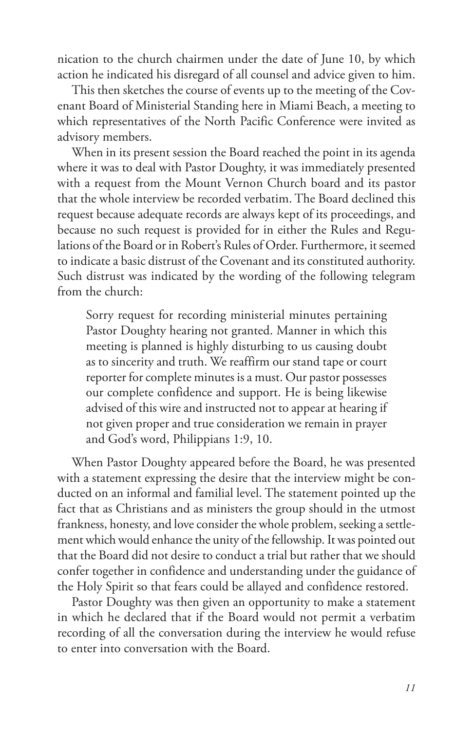nication to the church chairmen under the date of June 10, by which action he indicated his disregard of all counsel and advice given to him.

This then sketches the course of events up to the meeting of the Covenant Board of Ministerial Standing here in Miami Beach, a meeting to which representatives of the North Pacific Conference were invited as advisory members.

When in its present session the Board reached the point in its agenda where it was to deal with Pastor Doughty, it was immediately presented with a request from the Mount Vernon Church board and its pastor that the whole interview be recorded verbatim. The Board declined this request because adequate records are always kept of its proceedings, and because no such request is provided for in either the Rules and Regulations of the Board or in Robert's Rules of Order. Furthermore, it seemed to indicate a basic distrust of the Covenant and its constituted authority. Such distrust was indicated by the wording of the following telegram from the church:

Sorry request for recording ministerial minutes pertaining Pastor Doughty hearing not granted. Manner in which this meeting is planned is highly disturbing to us causing doubt as to sincerity and truth. We reaffirm our stand tape or court reporter for complete minutes is a must. Our pastor possesses our complete confidence and support. He is being likewise advised of this wire and instructed not to appear at hearing if not given proper and true consideration we remain in prayer and God's word, Philippians 1:9, 10.

When Pastor Doughty appeared before the Board, he was presented with a statement expressing the desire that the interview might be conducted on an informal and familial level. The statement pointed up the fact that as Christians and as ministers the group should in the utmost frankness, honesty, and love consider the whole problem, seeking a settlement which would enhance the unity of the fellowship. It was pointed out that the Board did not desire to conduct a trial but rather that we should confer together in confidence and understanding under the guidance of the Holy Spirit so that fears could be allayed and confidence restored.

Pastor Doughty was then given an opportunity to make a statement in which he declared that if the Board would not permit a verbatim recording of all the conversation during the interview he would refuse to enter into conversation with the Board.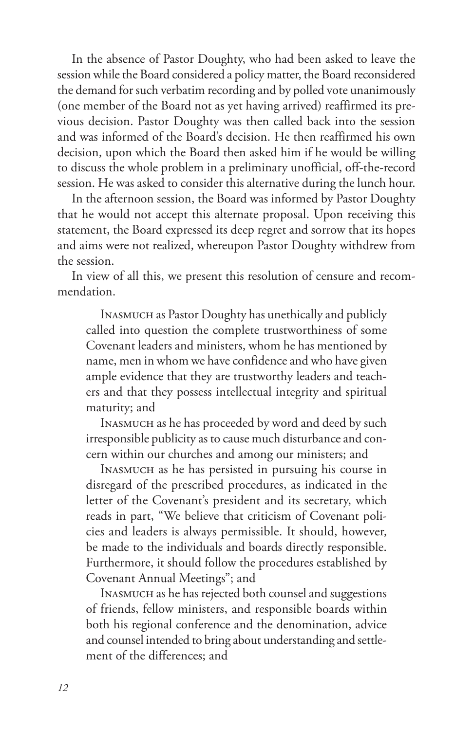In the absence of Pastor Doughty, who had been asked to leave the session while the Board considered a policy matter, the Board reconsidered the demand for such verbatim recording and by polled vote unanimously (one member of the Board not as yet having arrived) reaffirmed its previous decision. Pastor Doughty was then called back into the session and was informed of the Board's decision. He then reaffirmed his own decision, upon which the Board then asked him if he would be willing to discuss the whole problem in a preliminary unofficial, off-the-record session. He was asked to consider this alternative during the lunch hour.

In the afternoon session, the Board was informed by Pastor Doughty that he would not accept this alternate proposal. Upon receiving this statement, the Board expressed its deep regret and sorrow that its hopes and aims were not realized, whereupon Pastor Doughty withdrew from the session.

In view of all this, we present this resolution of censure and recommendation.

Inasmuch as Pastor Doughty has unethically and publicly called into question the complete trustworthiness of some Covenant leaders and ministers, whom he has mentioned by name, men in whom we have confidence and who have given ample evidence that they are trustworthy leaders and teachers and that they possess intellectual integrity and spiritual maturity; and

Inasmuch as he has proceeded by word and deed by such irresponsible publicity as to cause much disturbance and concern within our churches and among our ministers; and

Inasmuch as he has persisted in pursuing his course in disregard of the prescribed procedures, as indicated in the letter of the Covenant's president and its secretary, which reads in part, "We believe that criticism of Covenant policies and leaders is always permissible. It should, however, be made to the individuals and boards directly responsible. Furthermore, it should follow the procedures established by Covenant Annual Meetings"; and

Inasmuch as he has rejected both counsel and suggestions of friends, fellow ministers, and responsible boards within both his regional conference and the denomination, advice and counsel intended to bring about understanding and settlement of the differences; and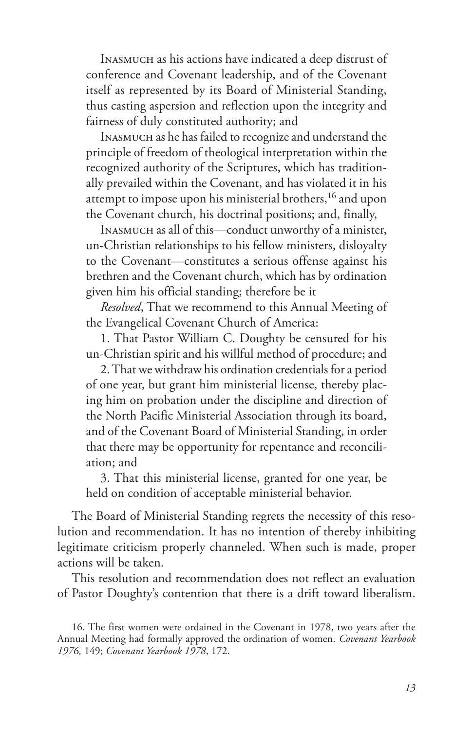Inasmuch as his actions have indicated a deep distrust of conference and Covenant leadership, and of the Covenant itself as represented by its Board of Ministerial Standing, thus casting aspersion and reflection upon the integrity and fairness of duly constituted authority; and

Inasmuch as he has failed to recognize and understand the principle of freedom of theological interpretation within the recognized authority of the Scriptures, which has traditionally prevailed within the Covenant, and has violated it in his attempt to impose upon his ministerial brothers,<sup>16</sup> and upon the Covenant church, his doctrinal positions; and, finally,

Inasmuch as all of this—conduct unworthy of a minister, un-Christian relationships to his fellow ministers, disloyalty to the Covenant—constitutes a serious offense against his brethren and the Covenant church, which has by ordination given him his official standing; therefore be it

*Resolved*, That we recommend to this Annual Meeting of the Evangelical Covenant Church of America:

1. That Pastor William C. Doughty be censured for his un-Christian spirit and his willful method of procedure; and

2. That we withdraw his ordination credentials for a period of one year, but grant him ministerial license, thereby placing him on probation under the discipline and direction of the North Pacific Ministerial Association through its board, and of the Covenant Board of Ministerial Standing, in order that there may be opportunity for repentance and reconciliation; and

3. That this ministerial license, granted for one year, be held on condition of acceptable ministerial behavior.

The Board of Ministerial Standing regrets the necessity of this resolution and recommendation. It has no intention of thereby inhibiting legitimate criticism properly channeled. When such is made, proper actions will be taken.

This resolution and recommendation does not reflect an evaluation of Pastor Doughty's contention that there is a drift toward liberalism.

<sup>16.</sup> The first women were ordained in the Covenant in 1978, two years after the Annual Meeting had formally approved the ordination of women. *Covenant Yearbook 1976,* 149; *Covenant Yearbook 1978*, 172.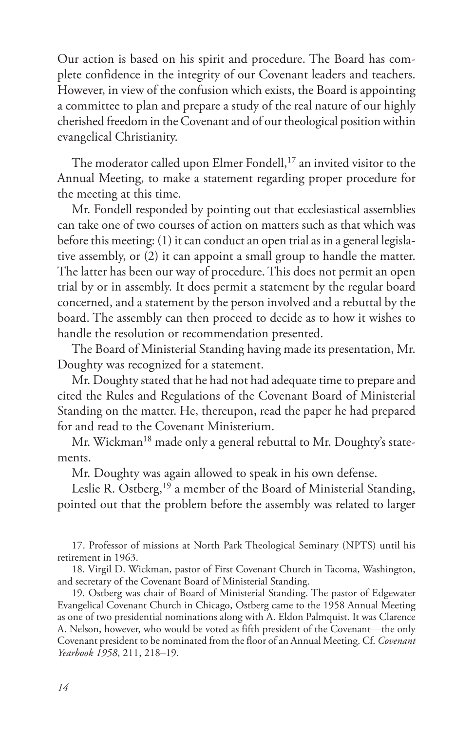Our action is based on his spirit and procedure. The Board has complete confidence in the integrity of our Covenant leaders and teachers. However, in view of the confusion which exists, the Board is appointing a committee to plan and prepare a study of the real nature of our highly cherished freedom in the Covenant and of our theological position within evangelical Christianity.

The moderator called upon Elmer Fondell,<sup>17</sup> an invited visitor to the Annual Meeting, to make a statement regarding proper procedure for the meeting at this time.

Mr. Fondell responded by pointing out that ecclesiastical assemblies can take one of two courses of action on matters such as that which was before this meeting: (1) it can conduct an open trial as in a general legislative assembly, or (2) it can appoint a small group to handle the matter. The latter has been our way of procedure. This does not permit an open trial by or in assembly. It does permit a statement by the regular board concerned, and a statement by the person involved and a rebuttal by the board. The assembly can then proceed to decide as to how it wishes to handle the resolution or recommendation presented.

The Board of Ministerial Standing having made its presentation, Mr. Doughty was recognized for a statement.

Mr. Doughty stated that he had not had adequate time to prepare and cited the Rules and Regulations of the Covenant Board of Ministerial Standing on the matter. He, thereupon, read the paper he had prepared for and read to the Covenant Ministerium.

Mr. Wickman<sup>18</sup> made only a general rebuttal to Mr. Doughty's statements.

Mr. Doughty was again allowed to speak in his own defense.

Leslie R. Ostberg,<sup>19</sup> a member of the Board of Ministerial Standing, pointed out that the problem before the assembly was related to larger

17. Professor of missions at North Park Theological Seminary (NPTS) until his retirement in 1963.

18. Virgil D. Wickman, pastor of First Covenant Church in Tacoma, Washington, and secretary of the Covenant Board of Ministerial Standing.

19. Ostberg was chair of Board of Ministerial Standing. The pastor of Edgewater Evangelical Covenant Church in Chicago, Ostberg came to the 1958 Annual Meeting as one of two presidential nominations along with A. Eldon Palmquist. It was Clarence A. Nelson, however, who would be voted as fifth president of the Covenant—the only Covenant president to be nominated from the floor of an Annual Meeting. Cf. *Covenant Yearbook 1958*, 211, 218–19.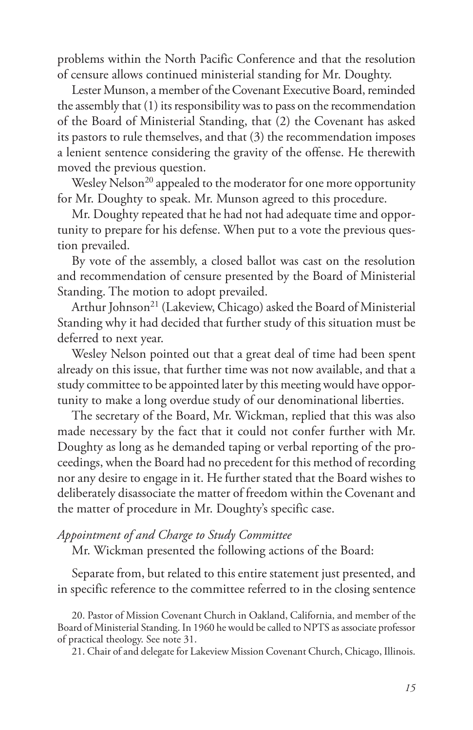problems within the North Pacific Conference and that the resolution of censure allows continued ministerial standing for Mr. Doughty.

Lester Munson, a member of the Covenant Executive Board, reminded the assembly that (1) its responsibility was to pass on the recommendation of the Board of Ministerial Standing, that (2) the Covenant has asked its pastors to rule themselves, and that (3) the recommendation imposes a lenient sentence considering the gravity of the offense. He therewith moved the previous question.

Wesley Nelson<sup>20</sup> appealed to the moderator for one more opportunity for Mr. Doughty to speak. Mr. Munson agreed to this procedure.

Mr. Doughty repeated that he had not had adequate time and opportunity to prepare for his defense. When put to a vote the previous question prevailed.

By vote of the assembly, a closed ballot was cast on the resolution and recommendation of censure presented by the Board of Ministerial Standing. The motion to adopt prevailed.

Arthur Johnson<sup>21</sup> (Lakeview, Chicago) asked the Board of Ministerial Standing why it had decided that further study of this situation must be deferred to next year.

Wesley Nelson pointed out that a great deal of time had been spent already on this issue, that further time was not now available, and that a study committee to be appointed later by this meeting would have opportunity to make a long overdue study of our denominational liberties.

The secretary of the Board, Mr. Wickman, replied that this was also made necessary by the fact that it could not confer further with Mr. Doughty as long as he demanded taping or verbal reporting of the proceedings, when the Board had no precedent for this method of recording nor any desire to engage in it. He further stated that the Board wishes to deliberately disassociate the matter of freedom within the Covenant and the matter of procedure in Mr. Doughty's specific case.

#### *Appointment of and Charge to Study Committee*

Mr. Wickman presented the following actions of the Board:

Separate from, but related to this entire statement just presented, and in specific reference to the committee referred to in the closing sentence

20. Pastor of Mission Covenant Church in Oakland, California, and member of the Board of Ministerial Standing. In 1960 he would be called to NPTS as associate professor of practical theology. See note 31.

21. Chair of and delegate for Lakeview Mission Covenant Church, Chicago, Illinois.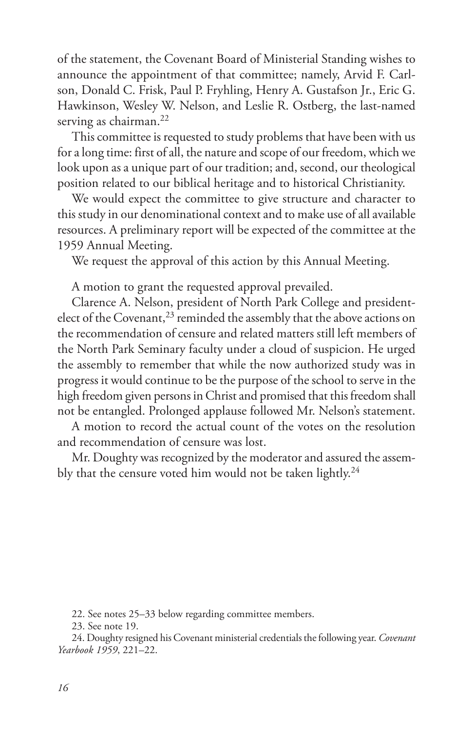of the statement, the Covenant Board of Ministerial Standing wishes to announce the appointment of that committee; namely, Arvid F. Carlson, Donald C. Frisk, Paul P. Fryhling, Henry A. Gustafson Jr., Eric G. Hawkinson, Wesley W. Nelson, and Leslie R. Ostberg, the last-named serving as chairman.<sup>22</sup>

This committee is requested to study problems that have been with us for a long time: first of all, the nature and scope of our freedom, which we look upon as a unique part of our tradition; and, second, our theological position related to our biblical heritage and to historical Christianity.

We would expect the committee to give structure and character to this study in our denominational context and to make use of all available resources. A preliminary report will be expected of the committee at the 1959 Annual Meeting.

We request the approval of this action by this Annual Meeting.

A motion to grant the requested approval prevailed.

Clarence A. Nelson, president of North Park College and presidentelect of the Covenant,<sup>23</sup> reminded the assembly that the above actions on the recommendation of censure and related matters still left members of the North Park Seminary faculty under a cloud of suspicion. He urged the assembly to remember that while the now authorized study was in progress it would continue to be the purpose of the school to serve in the high freedom given persons in Christ and promised that this freedom shall not be entangled. Prolonged applause followed Mr. Nelson's statement.

A motion to record the actual count of the votes on the resolution and recommendation of censure was lost.

Mr. Doughty was recognized by the moderator and assured the assembly that the censure voted him would not be taken lightly.<sup>24</sup>

22. See notes 25–33 below regarding committee members.

23. See note 19.

24. Doughty resigned his Covenant ministerial credentials the following year. *Covenant Yearbook 1959*, 221–22.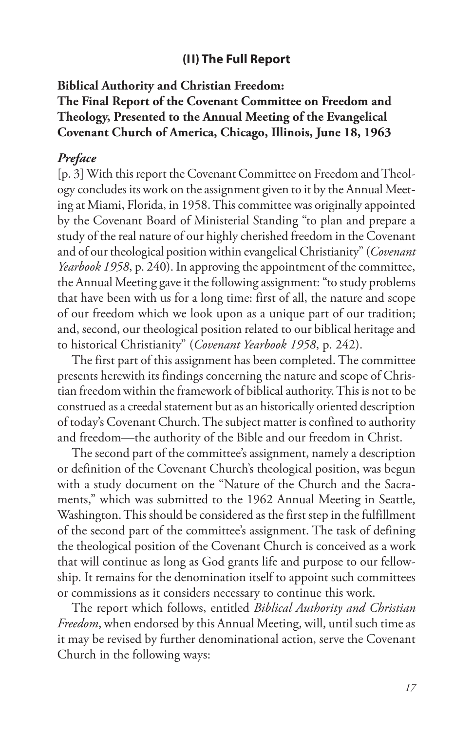#### **(II) The Full Report**

**Biblical Authority and Christian Freedom: The Final Report of the Covenant Committee on Freedom and Theology, Presented to the Annual Meeting of the Evangelical Covenant Church of America, Chicago, Illinois, June 18, 1963**

## *Preface*

[p. 3] With this report the Covenant Committee on Freedom and Theology concludes its work on the assignment given to it by the Annual Meeting at Miami, Florida, in 1958. This committee was originally appointed by the Covenant Board of Ministerial Standing "to plan and prepare a study of the real nature of our highly cherished freedom in the Covenant and of our theological position within evangelical Christianity" (*Covenant Yearbook 1958*, p. 240). In approving the appointment of the committee, the Annual Meeting gave it the following assignment: "to study problems that have been with us for a long time: first of all, the nature and scope of our freedom which we look upon as a unique part of our tradition; and, second, our theological position related to our biblical heritage and to historical Christianity" (*Covenant Yearbook 1958*, p. 242).

The first part of this assignment has been completed. The committee presents herewith its findings concerning the nature and scope of Christian freedom within the framework of biblical authority. This is not to be construed as a creedal statement but as an historically oriented description of today's Covenant Church. The subject matter is confined to authority and freedom—the authority of the Bible and our freedom in Christ.

The second part of the committee's assignment, namely a description or definition of the Covenant Church's theological position, was begun with a study document on the "Nature of the Church and the Sacraments," which was submitted to the 1962 Annual Meeting in Seattle, Washington. This should be considered as the first step in the fulfillment of the second part of the committee's assignment. The task of defining the theological position of the Covenant Church is conceived as a work that will continue as long as God grants life and purpose to our fellowship. It remains for the denomination itself to appoint such committees or commissions as it considers necessary to continue this work.

The report which follows, entitled *Biblical Authority and Christian Freedom*, when endorsed by this Annual Meeting, will, until such time as it may be revised by further denominational action, serve the Covenant Church in the following ways: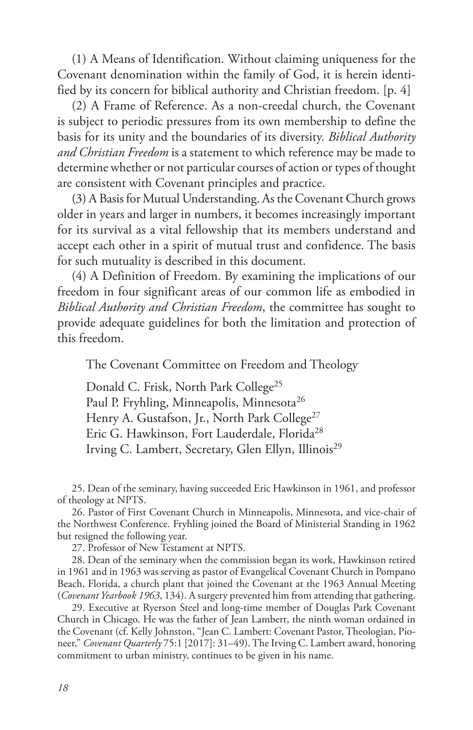(1) A Means of Identification. Without claiming uniqueness for the Covenant denomination within the family of God, it is herein identified by its concern for biblical authority and Christian freedom. [p. 4]

(2) A Frame of Reference. As a non-creedal church, the Covenant is subject to periodic pressures from its own membership to define the basis for its unity and the boundaries of its diversity. *Biblical Authority and Christian Freedom* is a statement to which reference may be made to determine whether or not particular courses of action or types of thought are consistent with Covenant principles and practice.

(3) A Basis for Mutual Understanding. As the Covenant Church grows older in years and larger in numbers, it becomes increasingly important for its survival as a vital fellowship that its members understand and accept each other in a spirit of mutual trust and confidence. The basis for such mutuality is described in this document.

(4) A Definition of Freedom. By examining the implications of our freedom in four significant areas of our common life as embodied in *Biblical Authority and Christian Freedom*, the committee has sought to provide adequate guidelines for both the limitation and protection of this freedom.

The Covenant Committee on Freedom and Theology

Donald C. Frisk, North Park College<sup>25</sup> Paul P. Fryhling, Minneapolis, Minnesota<sup>26</sup> Henry A. Gustafson, Jr., North Park College<sup>27</sup> Eric G. Hawkinson, Fort Lauderdale, Florida<sup>28</sup> Irving C. Lambert, Secretary, Glen Ellyn, Illinois<sup>29</sup>

25. Dean of the seminary, having succeeded Eric Hawkinson in 1961, and professor of theology at NPTS.

26. Pastor of First Covenant Church in Minneapolis, Minnesota, and vice-chair of the Northwest Conference. Fryhling joined the Board of Ministerial Standing in 1962 but resigned the following year.

27. Professor of New Testament at NPTS.

28. Dean of the seminary when the commission began its work, Hawkinson retired in 1961 and in 1963 was serving as pastor of Evangelical Covenant Church in Pompano Beach, Florida, a church plant that joined the Covenant at the 1963 Annual Meeting (*Covenant Yearbook 1963*, 134). A surgery prevented him from attending that gathering.

29. Executive at Ryerson Steel and long-time member of Douglas Park Covenant Church in Chicago. He was the father of Jean Lambert, the ninth woman ordained in the Covenant (cf. Kelly Johnston, "Jean C. Lambert: Covenant Pastor, Theologian, Pioneer," *Covenant Quarterly* 75:1 [2017]: 31–49). The Irving C. Lambert award, honoring commitment to urban ministry, continues to be given in his name.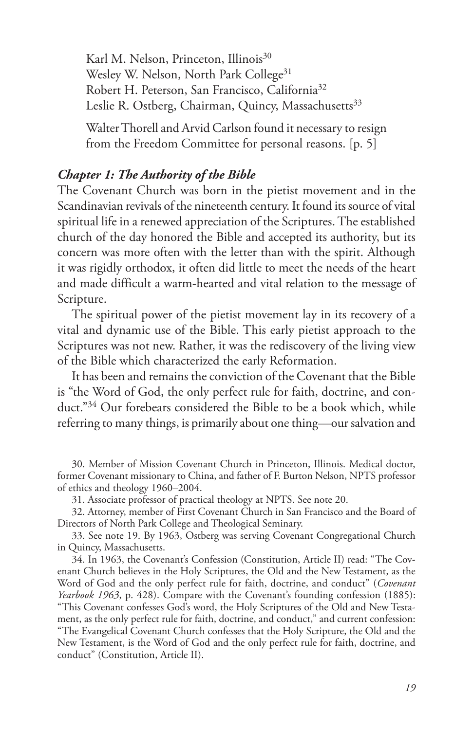Karl M. Nelson, Princeton, Illinois<sup>30</sup> Wesley W. Nelson, North Park College<sup>31</sup> Robert H. Peterson, San Francisco, California32 Leslie R. Ostberg, Chairman, Quincy, Massachusetts<sup>33</sup>

Walter Thorell and Arvid Carlson found it necessary to resign from the Freedom Committee for personal reasons. [p. 5]

### *Chapter 1: The Authority of the Bible*

The Covenant Church was born in the pietist movement and in the Scandinavian revivals of the nineteenth century. It found its source of vital spiritual life in a renewed appreciation of the Scriptures. The established church of the day honored the Bible and accepted its authority, but its concern was more often with the letter than with the spirit. Although it was rigidly orthodox, it often did little to meet the needs of the heart and made difficult a warm-hearted and vital relation to the message of Scripture.

The spiritual power of the pietist movement lay in its recovery of a vital and dynamic use of the Bible. This early pietist approach to the Scriptures was not new. Rather, it was the rediscovery of the living view of the Bible which characterized the early Reformation.

It has been and remains the conviction of the Covenant that the Bible is "the Word of God, the only perfect rule for faith, doctrine, and conduct."34 Our forebears considered the Bible to be a book which, while referring to many things, is primarily about one thing—our salvation and

30. Member of Mission Covenant Church in Princeton, Illinois. Medical doctor, former Covenant missionary to China, and father of F. Burton Nelson, NPTS professor of ethics and theology 1960–2004.

31. Associate professor of practical theology at NPTS. See note 20.

32. Attorney, member of First Covenant Church in San Francisco and the Board of Directors of North Park College and Theological Seminary.

33. See note 19. By 1963, Ostberg was serving Covenant Congregational Church in Quincy, Massachusetts.

34. In 1963, the Covenant's Confession (Constitution, Article II) read: "The Covenant Church believes in the Holy Scriptures, the Old and the New Testament, as the Word of God and the only perfect rule for faith, doctrine, and conduct" (*Covenant Yearbook 1963*, p. 428). Compare with the Covenant's founding confession (1885): "This Covenant confesses God's word, the Holy Scriptures of the Old and New Testament, as the only perfect rule for faith, doctrine, and conduct," and current confession: "The Evangelical Covenant Church confesses that the Holy Scripture, the Old and the New Testament, is the Word of God and the only perfect rule for faith, doctrine, and conduct" (Constitution, Article II).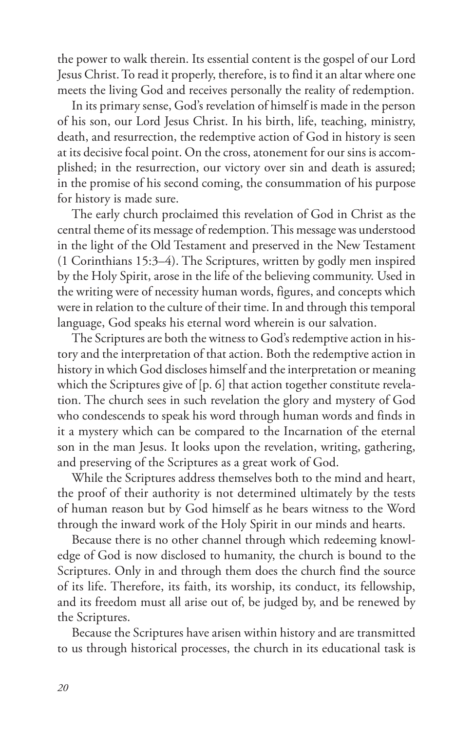the power to walk therein. Its essential content is the gospel of our Lord Jesus Christ. To read it properly, therefore, is to find it an altar where one meets the living God and receives personally the reality of redemption.

In its primary sense, God's revelation of himself is made in the person of his son, our Lord Jesus Christ. In his birth, life, teaching, ministry, death, and resurrection, the redemptive action of God in history is seen at its decisive focal point. On the cross, atonement for our sins is accomplished; in the resurrection, our victory over sin and death is assured; in the promise of his second coming, the consummation of his purpose for history is made sure.

The early church proclaimed this revelation of God in Christ as the central theme of its message of redemption. This message was understood in the light of the Old Testament and preserved in the New Testament (1 Corinthians 15:3–4). The Scriptures, written by godly men inspired by the Holy Spirit, arose in the life of the believing community. Used in the writing were of necessity human words, figures, and concepts which were in relation to the culture of their time. In and through this temporal language, God speaks his eternal word wherein is our salvation.

The Scriptures are both the witness to God's redemptive action in history and the interpretation of that action. Both the redemptive action in history in which God discloses himself and the interpretation or meaning which the Scriptures give of [p. 6] that action together constitute revelation. The church sees in such revelation the glory and mystery of God who condescends to speak his word through human words and finds in it a mystery which can be compared to the Incarnation of the eternal son in the man Jesus. It looks upon the revelation, writing, gathering, and preserving of the Scriptures as a great work of God.

While the Scriptures address themselves both to the mind and heart, the proof of their authority is not determined ultimately by the tests of human reason but by God himself as he bears witness to the Word through the inward work of the Holy Spirit in our minds and hearts.

Because there is no other channel through which redeeming knowledge of God is now disclosed to humanity, the church is bound to the Scriptures. Only in and through them does the church find the source of its life. Therefore, its faith, its worship, its conduct, its fellowship, and its freedom must all arise out of, be judged by, and be renewed by the Scriptures.

Because the Scriptures have arisen within history and are transmitted to us through historical processes, the church in its educational task is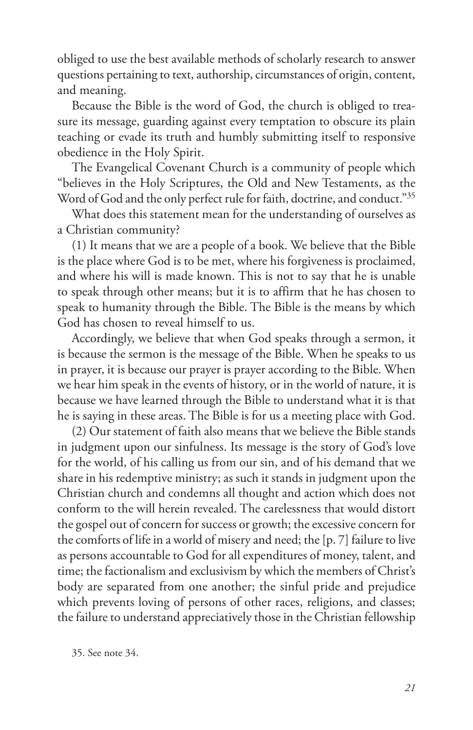obliged to use the best available methods of scholarly research to answer questions pertaining to text, authorship, circumstances of origin, content, and meaning.

Because the Bible is the word of God, the church is obliged to treasure its message, guarding against every temptation to obscure its plain teaching or evade its truth and humbly submitting itself to responsive obedience in the Holy Spirit.

The Evangelical Covenant Church is a community of people which "believes in the Holy Scriptures, the Old and New Testaments, as the Word of God and the only perfect rule for faith, doctrine, and conduct."35

What does this statement mean for the understanding of ourselves as a Christian community?

(1) It means that we are a people of a book. We believe that the Bible is the place where God is to be met, where his forgiveness is proclaimed, and where his will is made known. This is not to say that he is unable to speak through other means; but it is to affirm that he has chosen to speak to humanity through the Bible. The Bible is the means by which God has chosen to reveal himself to us.

Accordingly, we believe that when God speaks through a sermon, it is because the sermon is the message of the Bible. When he speaks to us in prayer, it is because our prayer is prayer according to the Bible. When we hear him speak in the events of history, or in the world of nature, it is because we have learned through the Bible to understand what it is that he is saying in these areas. The Bible is for us a meeting place with God.

(2) Our statement of faith also means that we believe the Bible stands in judgment upon our sinfulness. Its message is the story of God's love for the world, of his calling us from our sin, and of his demand that we share in his redemptive ministry; as such it stands in judgment upon the Christian church and condemns all thought and action which does not conform to the will herein revealed. The carelessness that would distort the gospel out of concern for success or growth; the excessive concern for the comforts of life in a world of misery and need; the [p. 7] failure to live as persons accountable to God for all expenditures of money, talent, and time; the factionalism and exclusivism by which the members of Christ's body are separated from one another; the sinful pride and prejudice which prevents loving of persons of other races, religions, and classes; the failure to understand appreciatively those in the Christian fellowship

35. See note 34.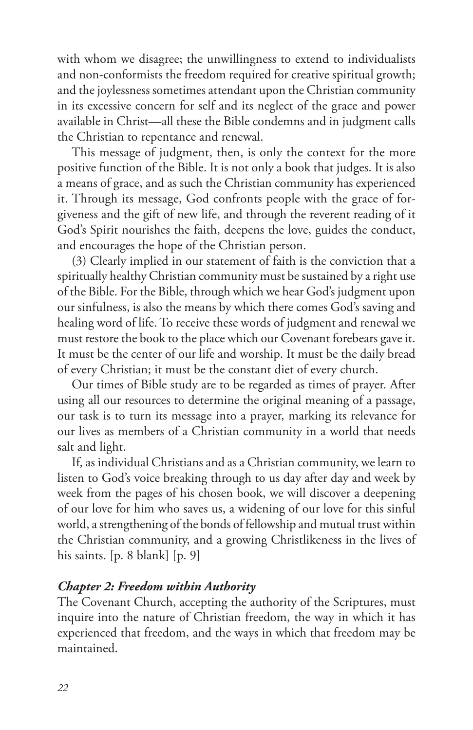with whom we disagree; the unwillingness to extend to individualists and non-conformists the freedom required for creative spiritual growth; and the joylessness sometimes attendant upon the Christian community in its excessive concern for self and its neglect of the grace and power available in Christ—all these the Bible condemns and in judgment calls the Christian to repentance and renewal.

This message of judgment, then, is only the context for the more positive function of the Bible. It is not only a book that judges. It is also a means of grace, and as such the Christian community has experienced it. Through its message, God confronts people with the grace of forgiveness and the gift of new life, and through the reverent reading of it God's Spirit nourishes the faith, deepens the love, guides the conduct, and encourages the hope of the Christian person.

(3) Clearly implied in our statement of faith is the conviction that a spiritually healthy Christian community must be sustained by a right use of the Bible. For the Bible, through which we hear God's judgment upon our sinfulness, is also the means by which there comes God's saving and healing word of life. To receive these words of judgment and renewal we must restore the book to the place which our Covenant forebears gave it. It must be the center of our life and worship. It must be the daily bread of every Christian; it must be the constant diet of every church.

Our times of Bible study are to be regarded as times of prayer. After using all our resources to determine the original meaning of a passage, our task is to turn its message into a prayer, marking its relevance for our lives as members of a Christian community in a world that needs salt and light.

If, as individual Christians and as a Christian community, we learn to listen to God's voice breaking through to us day after day and week by week from the pages of his chosen book, we will discover a deepening of our love for him who saves us, a widening of our love for this sinful world, a strengthening of the bonds of fellowship and mutual trust within the Christian community, and a growing Christlikeness in the lives of his saints. [p. 8 blank] [p. 9]

## *Chapter 2: Freedom within Authority*

The Covenant Church, accepting the authority of the Scriptures, must inquire into the nature of Christian freedom, the way in which it has experienced that freedom, and the ways in which that freedom may be maintained.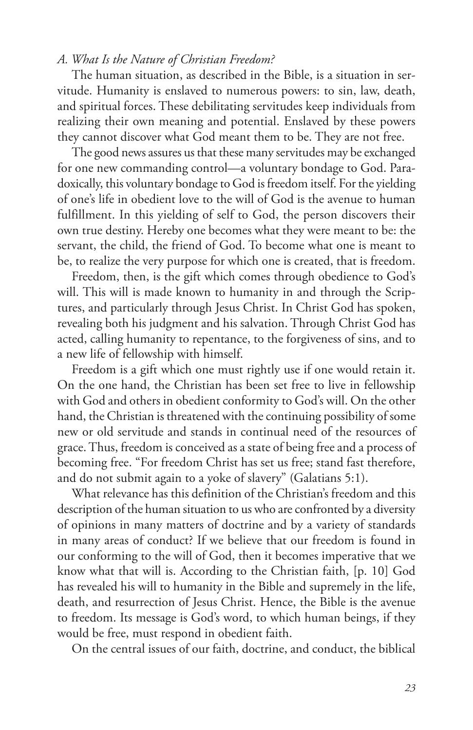# *A. What Is the Nature of Christian Freedom?*

The human situation, as described in the Bible, is a situation in servitude. Humanity is enslaved to numerous powers: to sin, law, death, and spiritual forces. These debilitating servitudes keep individuals from realizing their own meaning and potential. Enslaved by these powers they cannot discover what God meant them to be. They are not free.

The good news assures us that these many servitudes may be exchanged for one new commanding control—a voluntary bondage to God. Paradoxically, this voluntary bondage to God is freedom itself. For the yielding of one's life in obedient love to the will of God is the avenue to human fulfillment. In this yielding of self to God, the person discovers their own true destiny. Hereby one becomes what they were meant to be: the servant, the child, the friend of God. To become what one is meant to be, to realize the very purpose for which one is created, that is freedom.

Freedom, then, is the gift which comes through obedience to God's will. This will is made known to humanity in and through the Scriptures, and particularly through Jesus Christ. In Christ God has spoken, revealing both his judgment and his salvation. Through Christ God has acted, calling humanity to repentance, to the forgiveness of sins, and to a new life of fellowship with himself.

Freedom is a gift which one must rightly use if one would retain it. On the one hand, the Christian has been set free to live in fellowship with God and others in obedient conformity to God's will. On the other hand, the Christian is threatened with the continuing possibility of some new or old servitude and stands in continual need of the resources of grace. Thus, freedom is conceived as a state of being free and a process of becoming free. "For freedom Christ has set us free; stand fast therefore, and do not submit again to a yoke of slavery" (Galatians 5:1).

What relevance has this definition of the Christian's freedom and this description of the human situation to us who are confronted by a diversity of opinions in many matters of doctrine and by a variety of standards in many areas of conduct? If we believe that our freedom is found in our conforming to the will of God, then it becomes imperative that we know what that will is. According to the Christian faith, [p. 10] God has revealed his will to humanity in the Bible and supremely in the life, death, and resurrection of Jesus Christ. Hence, the Bible is the avenue to freedom. Its message is God's word, to which human beings, if they would be free, must respond in obedient faith.

On the central issues of our faith, doctrine, and conduct, the biblical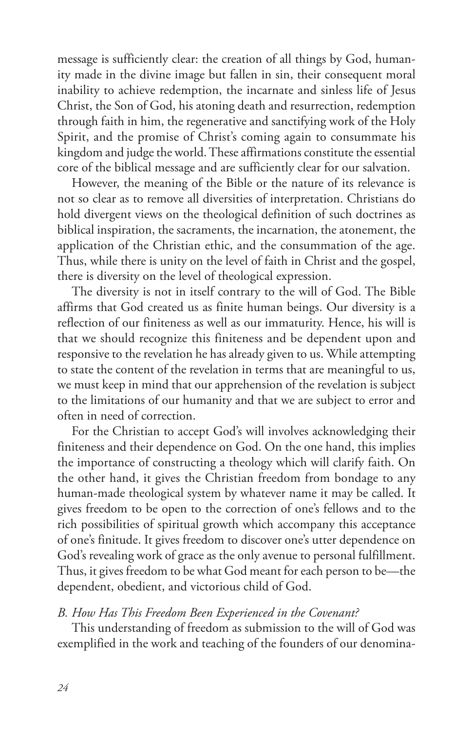message is sufficiently clear: the creation of all things by God, humanity made in the divine image but fallen in sin, their consequent moral inability to achieve redemption, the incarnate and sinless life of Jesus Christ, the Son of God, his atoning death and resurrection, redemption through faith in him, the regenerative and sanctifying work of the Holy Spirit, and the promise of Christ's coming again to consummate his kingdom and judge the world. These affirmations constitute the essential core of the biblical message and are sufficiently clear for our salvation.

However, the meaning of the Bible or the nature of its relevance is not so clear as to remove all diversities of interpretation. Christians do hold divergent views on the theological definition of such doctrines as biblical inspiration, the sacraments, the incarnation, the atonement, the application of the Christian ethic, and the consummation of the age. Thus, while there is unity on the level of faith in Christ and the gospel, there is diversity on the level of theological expression.

The diversity is not in itself contrary to the will of God. The Bible affirms that God created us as finite human beings. Our diversity is a reflection of our finiteness as well as our immaturity. Hence, his will is that we should recognize this finiteness and be dependent upon and responsive to the revelation he has already given to us. While attempting to state the content of the revelation in terms that are meaningful to us, we must keep in mind that our apprehension of the revelation is subject to the limitations of our humanity and that we are subject to error and often in need of correction.

For the Christian to accept God's will involves acknowledging their finiteness and their dependence on God. On the one hand, this implies the importance of constructing a theology which will clarify faith. On the other hand, it gives the Christian freedom from bondage to any human-made theological system by whatever name it may be called. It gives freedom to be open to the correction of one's fellows and to the rich possibilities of spiritual growth which accompany this acceptance of one's finitude. It gives freedom to discover one's utter dependence on God's revealing work of grace as the only avenue to personal fulfillment. Thus, it gives freedom to be what God meant for each person to be—the dependent, obedient, and victorious child of God.

#### *B. How Has This Freedom Been Experienced in the Covenant?*

This understanding of freedom as submission to the will of God was exemplified in the work and teaching of the founders of our denomina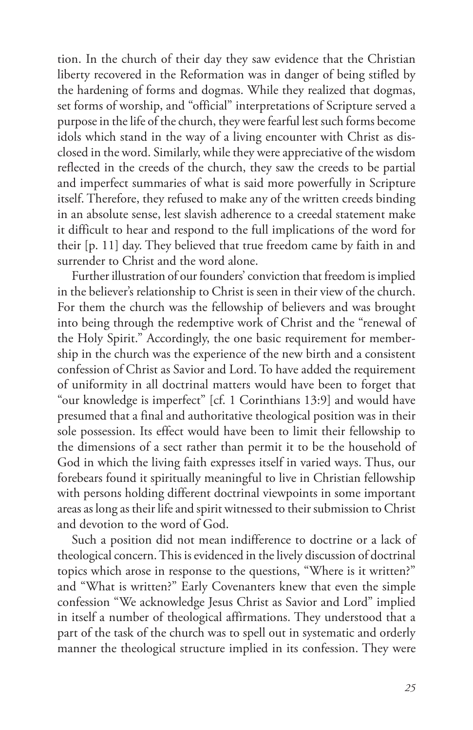tion. In the church of their day they saw evidence that the Christian liberty recovered in the Reformation was in danger of being stifled by the hardening of forms and dogmas. While they realized that dogmas, set forms of worship, and "official" interpretations of Scripture served a purpose in the life of the church, they were fearful lest such forms become idols which stand in the way of a living encounter with Christ as disclosed in the word. Similarly, while they were appreciative of the wisdom reflected in the creeds of the church, they saw the creeds to be partial and imperfect summaries of what is said more powerfully in Scripture itself. Therefore, they refused to make any of the written creeds binding in an absolute sense, lest slavish adherence to a creedal statement make it difficult to hear and respond to the full implications of the word for their [p. 11] day. They believed that true freedom came by faith in and surrender to Christ and the word alone.

Further illustration of our founders' conviction that freedom is implied in the believer's relationship to Christ is seen in their view of the church. For them the church was the fellowship of believers and was brought into being through the redemptive work of Christ and the "renewal of the Holy Spirit." Accordingly, the one basic requirement for membership in the church was the experience of the new birth and a consistent confession of Christ as Savior and Lord. To have added the requirement of uniformity in all doctrinal matters would have been to forget that "our knowledge is imperfect" [cf. 1 Corinthians 13:9] and would have presumed that a final and authoritative theological position was in their sole possession. Its effect would have been to limit their fellowship to the dimensions of a sect rather than permit it to be the household of God in which the living faith expresses itself in varied ways. Thus, our forebears found it spiritually meaningful to live in Christian fellowship with persons holding different doctrinal viewpoints in some important areas as long as their life and spirit witnessed to their submission to Christ and devotion to the word of God.

Such a position did not mean indifference to doctrine or a lack of theological concern. This is evidenced in the lively discussion of doctrinal topics which arose in response to the questions, "Where is it written?" and "What is written?" Early Covenanters knew that even the simple confession "We acknowledge Jesus Christ as Savior and Lord" implied in itself a number of theological affirmations. They understood that a part of the task of the church was to spell out in systematic and orderly manner the theological structure implied in its confession. They were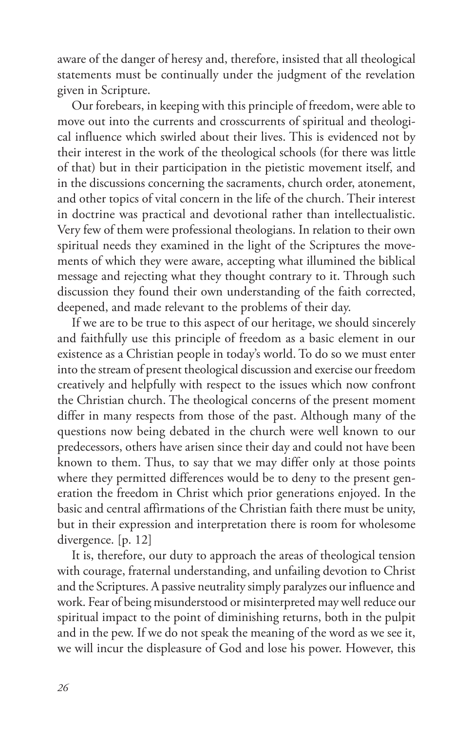aware of the danger of heresy and, therefore, insisted that all theological statements must be continually under the judgment of the revelation given in Scripture.

Our forebears, in keeping with this principle of freedom, were able to move out into the currents and crosscurrents of spiritual and theological influence which swirled about their lives. This is evidenced not by their interest in the work of the theological schools (for there was little of that) but in their participation in the pietistic movement itself, and in the discussions concerning the sacraments, church order, atonement, and other topics of vital concern in the life of the church. Their interest in doctrine was practical and devotional rather than intellectualistic. Very few of them were professional theologians. In relation to their own spiritual needs they examined in the light of the Scriptures the movements of which they were aware, accepting what illumined the biblical message and rejecting what they thought contrary to it. Through such discussion they found their own understanding of the faith corrected, deepened, and made relevant to the problems of their day.

If we are to be true to this aspect of our heritage, we should sincerely and faithfully use this principle of freedom as a basic element in our existence as a Christian people in today's world. To do so we must enter into the stream of present theological discussion and exercise our freedom creatively and helpfully with respect to the issues which now confront the Christian church. The theological concerns of the present moment differ in many respects from those of the past. Although many of the questions now being debated in the church were well known to our predecessors, others have arisen since their day and could not have been known to them. Thus, to say that we may differ only at those points where they permitted differences would be to deny to the present generation the freedom in Christ which prior generations enjoyed. In the basic and central affirmations of the Christian faith there must be unity, but in their expression and interpretation there is room for wholesome divergence. [p. 12]

It is, therefore, our duty to approach the areas of theological tension with courage, fraternal understanding, and unfailing devotion to Christ and the Scriptures. A passive neutrality simply paralyzes our influence and work. Fear of being misunderstood or misinterpreted may well reduce our spiritual impact to the point of diminishing returns, both in the pulpit and in the pew. If we do not speak the meaning of the word as we see it, we will incur the displeasure of God and lose his power. However, this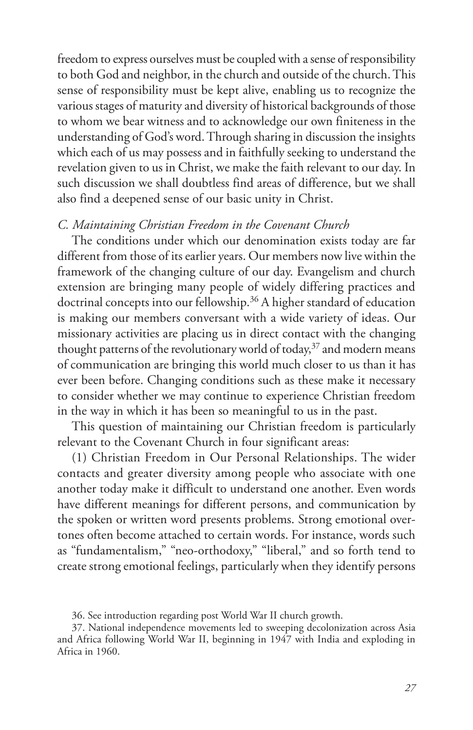freedom to express ourselves must be coupled with a sense of responsibility to both God and neighbor, in the church and outside of the church. This sense of responsibility must be kept alive, enabling us to recognize the various stages of maturity and diversity of historical backgrounds of those to whom we bear witness and to acknowledge our own finiteness in the understanding of God's word. Through sharing in discussion the insights which each of us may possess and in faithfully seeking to understand the revelation given to us in Christ, we make the faith relevant to our day. In such discussion we shall doubtless find areas of difference, but we shall also find a deepened sense of our basic unity in Christ.

## *C. Maintaining Christian Freedom in the Covenant Church*

The conditions under which our denomination exists today are far different from those of its earlier years. Our members now live within the framework of the changing culture of our day. Evangelism and church extension are bringing many people of widely differing practices and doctrinal concepts into our fellowship.<sup>36</sup> A higher standard of education is making our members conversant with a wide variety of ideas. Our missionary activities are placing us in direct contact with the changing thought patterns of the revolutionary world of today,<sup>37</sup> and modern means of communication are bringing this world much closer to us than it has ever been before. Changing conditions such as these make it necessary to consider whether we may continue to experience Christian freedom in the way in which it has been so meaningful to us in the past.

This question of maintaining our Christian freedom is particularly relevant to the Covenant Church in four significant areas:

(1) Christian Freedom in Our Personal Relationships. The wider contacts and greater diversity among people who associate with one another today make it difficult to understand one another. Even words have different meanings for different persons, and communication by the spoken or written word presents problems. Strong emotional overtones often become attached to certain words. For instance, words such as "fundamentalism," "neo-orthodoxy," "liberal," and so forth tend to create strong emotional feelings, particularly when they identify persons

36. See introduction regarding post World War II church growth.

37. National independence movements led to sweeping decolonization across Asia and Africa following World War II, beginning in 1947 with India and exploding in Africa in 1960.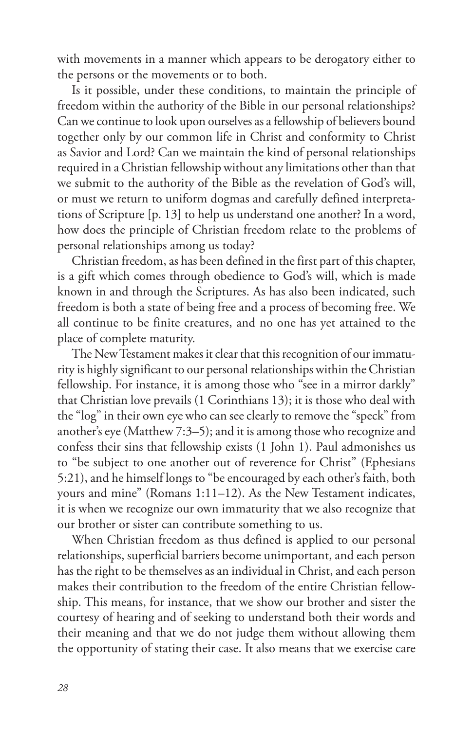with movements in a manner which appears to be derogatory either to the persons or the movements or to both.

Is it possible, under these conditions, to maintain the principle of freedom within the authority of the Bible in our personal relationships? Can we continue to look upon ourselves as a fellowship of believers bound together only by our common life in Christ and conformity to Christ as Savior and Lord? Can we maintain the kind of personal relationships required in a Christian fellowship without any limitations other than that we submit to the authority of the Bible as the revelation of God's will, or must we return to uniform dogmas and carefully defined interpretations of Scripture [p. 13] to help us understand one another? In a word, how does the principle of Christian freedom relate to the problems of personal relationships among us today?

Christian freedom, as has been defined in the first part of this chapter, is a gift which comes through obedience to God's will, which is made known in and through the Scriptures. As has also been indicated, such freedom is both a state of being free and a process of becoming free. We all continue to be finite creatures, and no one has yet attained to the place of complete maturity.

The New Testament makes it clear that this recognition of our immaturity is highly significant to our personal relationships within the Christian fellowship. For instance, it is among those who "see in a mirror darkly" that Christian love prevails (1 Corinthians 13); it is those who deal with the "log" in their own eye who can see clearly to remove the "speck" from another's eye (Matthew 7:3–5); and it is among those who recognize and confess their sins that fellowship exists (1 John 1). Paul admonishes us to "be subject to one another out of reverence for Christ" (Ephesians 5:21), and he himself longs to "be encouraged by each other's faith, both yours and mine" (Romans 1:11–12). As the New Testament indicates, it is when we recognize our own immaturity that we also recognize that our brother or sister can contribute something to us.

When Christian freedom as thus defined is applied to our personal relationships, superficial barriers become unimportant, and each person has the right to be themselves as an individual in Christ, and each person makes their contribution to the freedom of the entire Christian fellowship. This means, for instance, that we show our brother and sister the courtesy of hearing and of seeking to understand both their words and their meaning and that we do not judge them without allowing them the opportunity of stating their case. It also means that we exercise care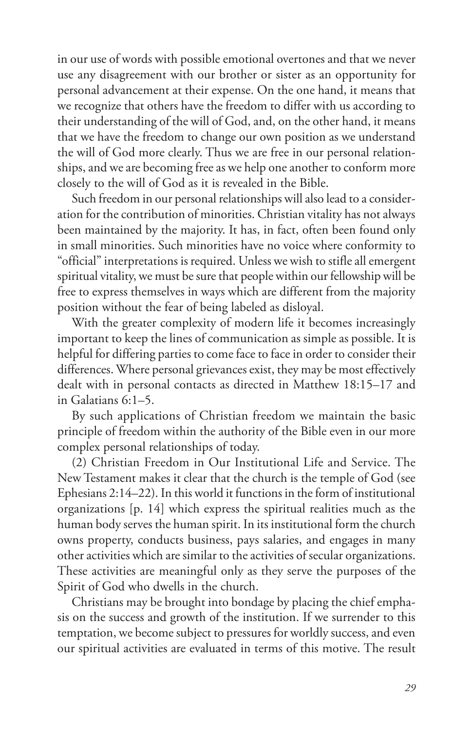in our use of words with possible emotional overtones and that we never use any disagreement with our brother or sister as an opportunity for personal advancement at their expense. On the one hand, it means that we recognize that others have the freedom to differ with us according to their understanding of the will of God, and, on the other hand, it means that we have the freedom to change our own position as we understand the will of God more clearly. Thus we are free in our personal relationships, and we are becoming free as we help one another to conform more closely to the will of God as it is revealed in the Bible.

Such freedom in our personal relationships will also lead to a consideration for the contribution of minorities. Christian vitality has not always been maintained by the majority. It has, in fact, often been found only in small minorities. Such minorities have no voice where conformity to "official" interpretations is required. Unless we wish to stifle all emergent spiritual vitality, we must be sure that people within our fellowship will be free to express themselves in ways which are different from the majority position without the fear of being labeled as disloyal.

With the greater complexity of modern life it becomes increasingly important to keep the lines of communication as simple as possible. It is helpful for differing parties to come face to face in order to consider their differences. Where personal grievances exist, they may be most effectively dealt with in personal contacts as directed in Matthew 18:15–17 and in Galatians 6:1–5.

By such applications of Christian freedom we maintain the basic principle of freedom within the authority of the Bible even in our more complex personal relationships of today.

(2) Christian Freedom in Our Institutional Life and Service. The New Testament makes it clear that the church is the temple of God (see Ephesians 2:14–22). In this world it functions in the form of institutional organizations [p. 14] which express the spiritual realities much as the human body serves the human spirit. In its institutional form the church owns property, conducts business, pays salaries, and engages in many other activities which are similar to the activities of secular organizations. These activities are meaningful only as they serve the purposes of the Spirit of God who dwells in the church.

Christians may be brought into bondage by placing the chief emphasis on the success and growth of the institution. If we surrender to this temptation, we become subject to pressures for worldly success, and even our spiritual activities are evaluated in terms of this motive. The result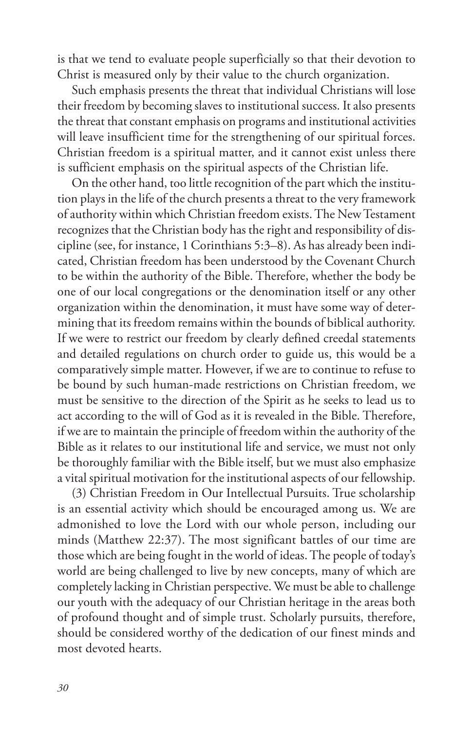is that we tend to evaluate people superficially so that their devotion to Christ is measured only by their value to the church organization.

Such emphasis presents the threat that individual Christians will lose their freedom by becoming slaves to institutional success. It also presents the threat that constant emphasis on programs and institutional activities will leave insufficient time for the strengthening of our spiritual forces. Christian freedom is a spiritual matter, and it cannot exist unless there is sufficient emphasis on the spiritual aspects of the Christian life.

On the other hand, too little recognition of the part which the institution plays in the life of the church presents a threat to the very framework of authority within which Christian freedom exists. The New Testament recognizes that the Christian body has the right and responsibility of discipline (see, for instance, 1 Corinthians 5:3–8). As has already been indicated, Christian freedom has been understood by the Covenant Church to be within the authority of the Bible. Therefore, whether the body be one of our local congregations or the denomination itself or any other organization within the denomination, it must have some way of determining that its freedom remains within the bounds of biblical authority. If we were to restrict our freedom by clearly defined creedal statements and detailed regulations on church order to guide us, this would be a comparatively simple matter. However, if we are to continue to refuse to be bound by such human-made restrictions on Christian freedom, we must be sensitive to the direction of the Spirit as he seeks to lead us to act according to the will of God as it is revealed in the Bible. Therefore, if we are to maintain the principle of freedom within the authority of the Bible as it relates to our institutional life and service, we must not only be thoroughly familiar with the Bible itself, but we must also emphasize a vital spiritual motivation for the institutional aspects of our fellowship.

(3) Christian Freedom in Our Intellectual Pursuits. True scholarship is an essential activity which should be encouraged among us. We are admonished to love the Lord with our whole person, including our minds (Matthew 22:37). The most significant battles of our time are those which are being fought in the world of ideas. The people of today's world are being challenged to live by new concepts, many of which are completely lacking in Christian perspective. We must be able to challenge our youth with the adequacy of our Christian heritage in the areas both of profound thought and of simple trust. Scholarly pursuits, therefore, should be considered worthy of the dedication of our finest minds and most devoted hearts.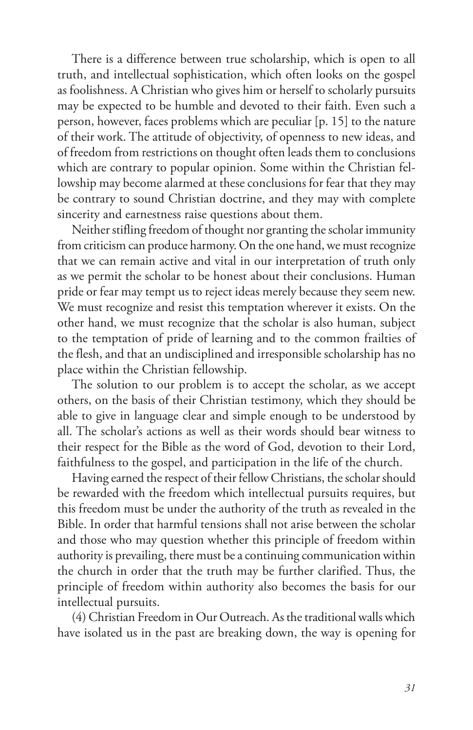There is a difference between true scholarship, which is open to all truth, and intellectual sophistication, which often looks on the gospel as foolishness. A Christian who gives him or herself to scholarly pursuits may be expected to be humble and devoted to their faith. Even such a person, however, faces problems which are peculiar [p. 15] to the nature of their work. The attitude of objectivity, of openness to new ideas, and of freedom from restrictions on thought often leads them to conclusions which are contrary to popular opinion. Some within the Christian fellowship may become alarmed at these conclusions for fear that they may be contrary to sound Christian doctrine, and they may with complete sincerity and earnestness raise questions about them.

Neither stifling freedom of thought nor granting the scholar immunity from criticism can produce harmony. On the one hand, we must recognize that we can remain active and vital in our interpretation of truth only as we permit the scholar to be honest about their conclusions. Human pride or fear may tempt us to reject ideas merely because they seem new. We must recognize and resist this temptation wherever it exists. On the other hand, we must recognize that the scholar is also human, subject to the temptation of pride of learning and to the common frailties of the flesh, and that an undisciplined and irresponsible scholarship has no place within the Christian fellowship.

The solution to our problem is to accept the scholar, as we accept others, on the basis of their Christian testimony, which they should be able to give in language clear and simple enough to be understood by all. The scholar's actions as well as their words should bear witness to their respect for the Bible as the word of God, devotion to their Lord, faithfulness to the gospel, and participation in the life of the church.

Having earned the respect of their fellow Christians, the scholar should be rewarded with the freedom which intellectual pursuits requires, but this freedom must be under the authority of the truth as revealed in the Bible. In order that harmful tensions shall not arise between the scholar and those who may question whether this principle of freedom within authority is prevailing, there must be a continuing communication within the church in order that the truth may be further clarified. Thus, the principle of freedom within authority also becomes the basis for our intellectual pursuits.

(4) Christian Freedom in Our Outreach. As the traditional walls which have isolated us in the past are breaking down, the way is opening for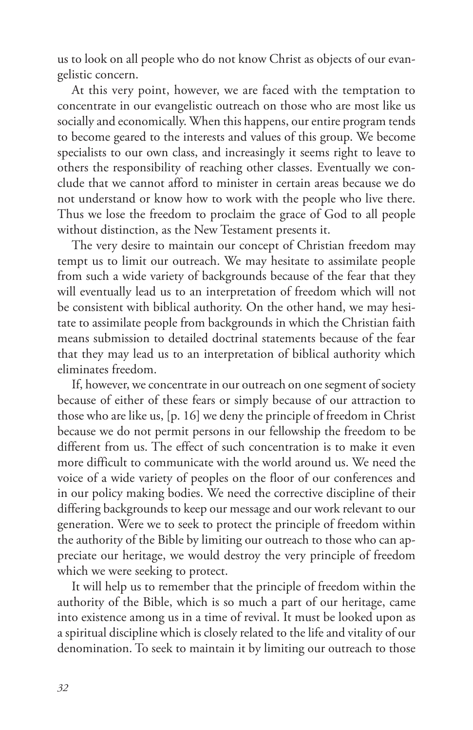us to look on all people who do not know Christ as objects of our evangelistic concern.

At this very point, however, we are faced with the temptation to concentrate in our evangelistic outreach on those who are most like us socially and economically. When this happens, our entire program tends to become geared to the interests and values of this group. We become specialists to our own class, and increasingly it seems right to leave to others the responsibility of reaching other classes. Eventually we conclude that we cannot afford to minister in certain areas because we do not understand or know how to work with the people who live there. Thus we lose the freedom to proclaim the grace of God to all people without distinction, as the New Testament presents it.

The very desire to maintain our concept of Christian freedom may tempt us to limit our outreach. We may hesitate to assimilate people from such a wide variety of backgrounds because of the fear that they will eventually lead us to an interpretation of freedom which will not be consistent with biblical authority. On the other hand, we may hesitate to assimilate people from backgrounds in which the Christian faith means submission to detailed doctrinal statements because of the fear that they may lead us to an interpretation of biblical authority which eliminates freedom.

If, however, we concentrate in our outreach on one segment of society because of either of these fears or simply because of our attraction to those who are like us, [p. 16] we deny the principle of freedom in Christ because we do not permit persons in our fellowship the freedom to be different from us. The effect of such concentration is to make it even more difficult to communicate with the world around us. We need the voice of a wide variety of peoples on the floor of our conferences and in our policy making bodies. We need the corrective discipline of their differing backgrounds to keep our message and our work relevant to our generation. Were we to seek to protect the principle of freedom within the authority of the Bible by limiting our outreach to those who can appreciate our heritage, we would destroy the very principle of freedom which we were seeking to protect.

It will help us to remember that the principle of freedom within the authority of the Bible, which is so much a part of our heritage, came into existence among us in a time of revival. It must be looked upon as a spiritual discipline which is closely related to the life and vitality of our denomination. To seek to maintain it by limiting our outreach to those